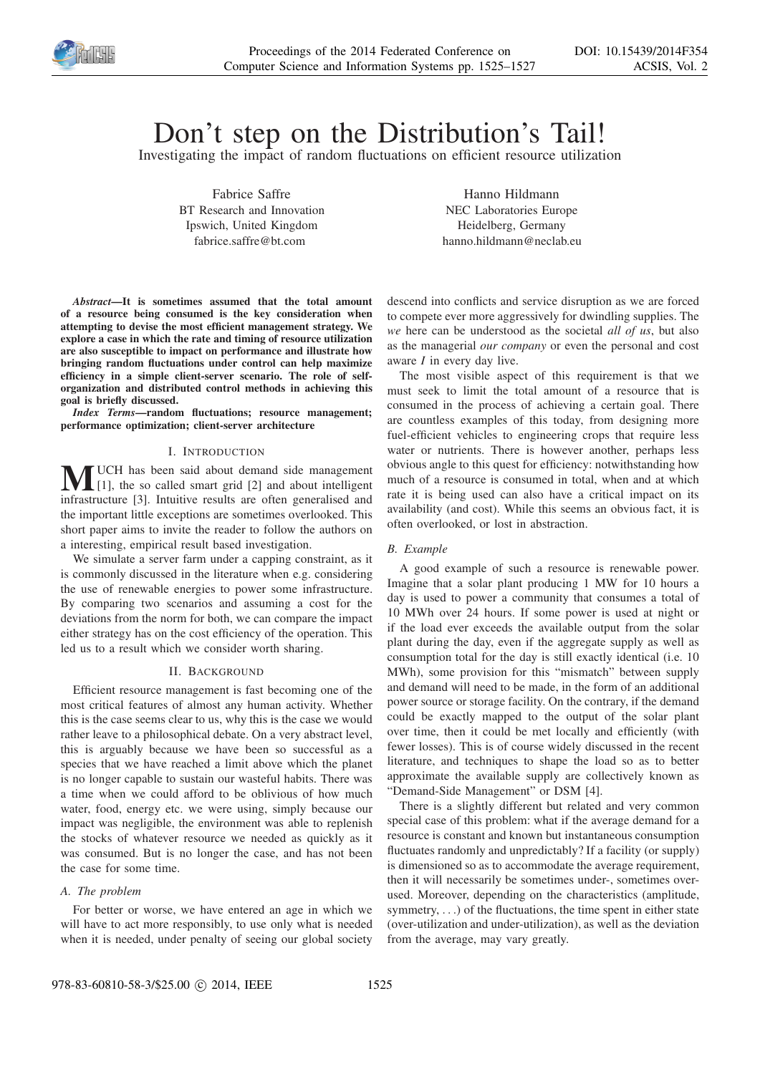

# Don't step on the Distribution's Tail!

Investigating the impact of random fluctuations on efficient resource utilization

Fabrice Saffre BT Research and Innovation Ipswich, United Kingdom fabrice.saffre@bt.com

Hanno Hildmann NEC Laboratories Europe Heidelberg, Germany hanno.hildmann@neclab.eu

*Abstract*—It is sometimes assumed that the total amount of a resource being consumed is the key consideration when attempting to devise the most efficient management strategy. We explore a case in which the rate and timing of resource utilization are also susceptible to impact on performance and illustrate how bringing random fluctuations under control can help maximize efficiency in a simple client-server scenario. The role of selforganization and distributed control methods in achieving this goal is briefly discussed.

*Index Terms*—random fluctuations; resource management; performance optimization; client-server architecture

# I. INTRODUCTION

 $\sum$  UCH has been said about demand side management<br>[1], the so called smart grid [2] and about intelligent<br>interaction [2], Intelligent and the source she appealing and infrastructure [3]. Intuitive results are often generalised and the important little exceptions are sometimes overlooked. This short paper aims to invite the reader to follow the authors on a interesting, empirical result based investigation.

We simulate a server farm under a capping constraint, as it is commonly discussed in the literature when e.g. considering the use of renewable energies to power some infrastructure. By comparing two scenarios and assuming a cost for the deviations from the norm for both, we can compare the impact either strategy has on the cost efficiency of the operation. This led us to a result which we consider worth sharing.

#### II. BACKGROUND

Efficient resource management is fast becoming one of the most critical features of almost any human activity. Whether this is the case seems clear to us, why this is the case we would rather leave to a philosophical debate. On a very abstract level, this is arguably because we have been so successful as a species that we have reached a limit above which the planet is no longer capable to sustain our wasteful habits. There was a time when we could afford to be oblivious of how much water, food, energy etc. we were using, simply because our impact was negligible, the environment was able to replenish the stocks of whatever resource we needed as quickly as it was consumed. But is no longer the case, and has not been the case for some time.

#### *A. The problem*

For better or worse, we have entered an age in which we will have to act more responsibly, to use only what is needed when it is needed, under penalty of seeing our global society

descend into conflicts and service disruption as we are forced to compete ever more aggressively for dwindling supplies. The *we* here can be understood as the societal *all of us*, but also as the managerial *our company* or even the personal and cost aware *I* in every day live.

The most visible aspect of this requirement is that we must seek to limit the total amount of a resource that is consumed in the process of achieving a certain goal. There are countless examples of this today, from designing more fuel-efficient vehicles to engineering crops that require less water or nutrients. There is however another, perhaps less obvious angle to this quest for efficiency: notwithstanding how much of a resource is consumed in total, when and at which rate it is being used can also have a critical impact on its availability (and cost). While this seems an obvious fact, it is often overlooked, or lost in abstraction.

## *B. Example*

A good example of such a resource is renewable power. Imagine that a solar plant producing 1 MW for 10 hours a day is used to power a community that consumes a total of 10 MWh over 24 hours. If some power is used at night or if the load ever exceeds the available output from the solar plant during the day, even if the aggregate supply as well as consumption total for the day is still exactly identical (i.e. 10 MWh), some provision for this "mismatch" between supply and demand will need to be made, in the form of an additional power source or storage facility. On the contrary, if the demand could be exactly mapped to the output of the solar plant over time, then it could be met locally and efficiently (with fewer losses). This is of course widely discussed in the recent literature, and techniques to shape the load so as to better approximate the available supply are collectively known as "Demand-Side Management" or DSM [4].

There is a slightly different but related and very common special case of this problem: what if the average demand for a resource is constant and known but instantaneous consumption fluctuates randomly and unpredictably? If a facility (or supply) is dimensioned so as to accommodate the average requirement, then it will necessarily be sometimes under-, sometimes overused. Moreover, depending on the characteristics (amplitude, symmetry, ...) of the fluctuations, the time spent in either state (over-utilization and under-utilization), as well as the deviation from the average, may vary greatly.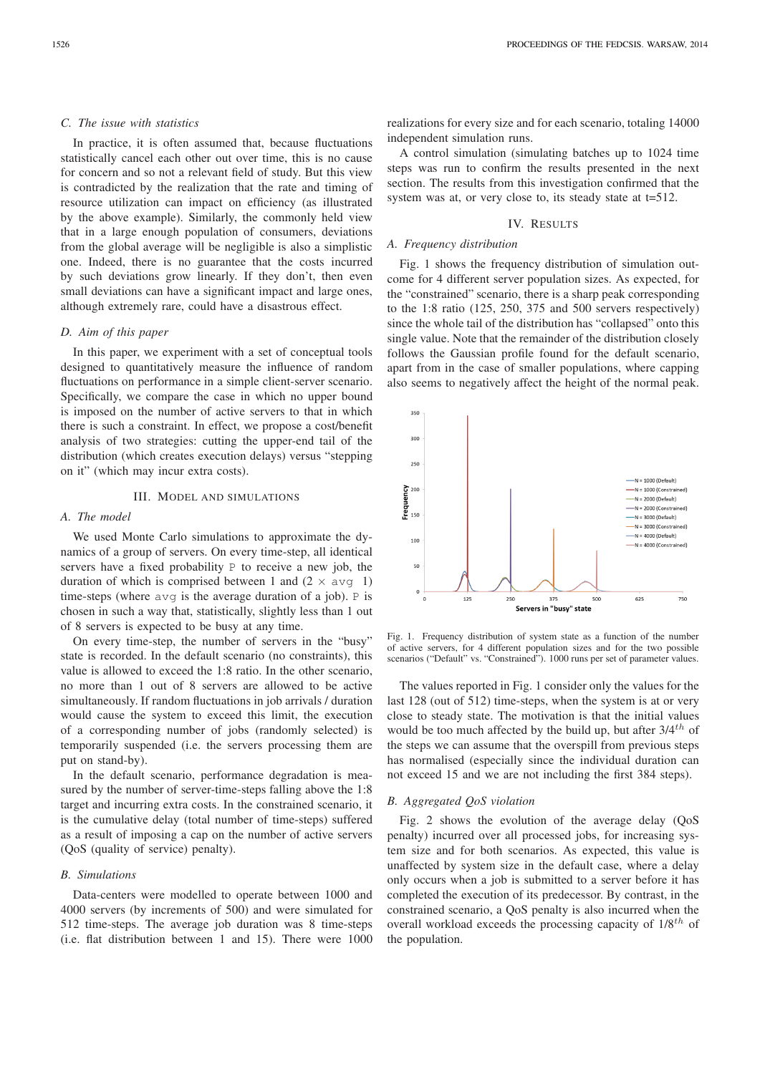### *C. The issue with statistics*

In practice, it is often assumed that, because fluctuations statistically cancel each other out over time, this is no cause for concern and so not a relevant field of study. But this view is contradicted by the realization that the rate and timing of resource utilization can impact on efficiency (as illustrated by the above example). Similarly, the commonly held view that in a large enough population of consumers, deviations from the global average will be negligible is also a simplistic one. Indeed, there is no guarantee that the costs incurred by such deviations grow linearly. If they don't, then even small deviations can have a significant impact and large ones, although extremely rare, could have a disastrous effect.

# *D. Aim of this paper*

In this paper, we experiment with a set of conceptual tools designed to quantitatively measure the influence of random fluctuations on performance in a simple client-server scenario. Specifically, we compare the case in which no upper bound is imposed on the number of active servers to that in which there is such a constraint. In effect, we propose a cost/benefit analysis of two strategies: cutting the upper-end tail of the distribution (which creates execution delays) versus "stepping on it" (which may incur extra costs).

#### III. MODEL AND SIMULATIONS

## *A. The model*

We used Monte Carlo simulations to approximate the dynamics of a group of servers. On every time-step, all identical servers have a fixed probability P to receive a new job, the duration of which is comprised between 1 and  $(2 \times avq 1)$ time-steps (where avg is the average duration of a job). P is chosen in such a way that, statistically, slightly less than 1 out of 8 servers is expected to be busy at any time.

On every time-step, the number of servers in the "busy" state is recorded. In the default scenario (no constraints), this value is allowed to exceed the 1:8 ratio. In the other scenario, no more than 1 out of 8 servers are allowed to be active simultaneously. If random fluctuations in job arrivals / duration would cause the system to exceed this limit, the execution of a corresponding number of jobs (randomly selected) is temporarily suspended (i.e. the servers processing them are put on stand-by).

In the default scenario, performance degradation is measured by the number of server-time-steps falling above the 1:8 target and incurring extra costs. In the constrained scenario, it is the cumulative delay (total number of time-steps) suffered as a result of imposing a cap on the number of active servers (QoS (quality of service) penalty).

#### *B. Simulations*

Data-centers were modelled to operate between 1000 and 4000 servers (by increments of 500) and were simulated for 512 time-steps. The average job duration was 8 time-steps (i.e. flat distribution between 1 and 15). There were 1000

realizations for every size and for each scenario, totaling 14000 independent simulation runs.

A control simulation (simulating batches up to 1024 time steps was run to confirm the results presented in the next section. The results from this investigation confirmed that the system was at, or very close to, its steady state at t=512.

# IV. RESULTS

# *A. Frequency distribution*

Fig. 1 shows the frequency distribution of simulation outcome for 4 different server population sizes. As expected, for the "constrained" scenario, there is a sharp peak corresponding to the 1:8 ratio (125, 250, 375 and 500 servers respectively) since the whole tail of the distribution has "collapsed" onto this single value. Note that the remainder of the distribution closely follows the Gaussian profile found for the default scenario, apart from in the case of smaller populations, where capping also seems to negatively affect the height of the normal peak.



Fig. 1. Frequency distribution of system state as a function of the number of active servers, for 4 different population sizes and for the two possible scenarios ("Default" vs. "Constrained"). 1000 runs per set of parameter values.

The values reported in Fig. 1 consider only the values for the last 128 (out of 512) time-steps, when the system is at or very close to steady state. The motivation is that the initial values would be too much affected by the build up, but after  $3/4^{th}$  of the steps we can assume that the overspill from previous steps has normalised (especially since the individual duration can not exceed 15 and we are not including the first 384 steps).

# *B. Aggregated QoS violation*

Fig. 2 shows the evolution of the average delay (QoS penalty) incurred over all processed jobs, for increasing system size and for both scenarios. As expected, this value is unaffected by system size in the default case, where a delay only occurs when a job is submitted to a server before it has completed the execution of its predecessor. By contrast, in the constrained scenario, a QoS penalty is also incurred when the overall workload exceeds the processing capacity of  $1/8^{th}$  of the population.